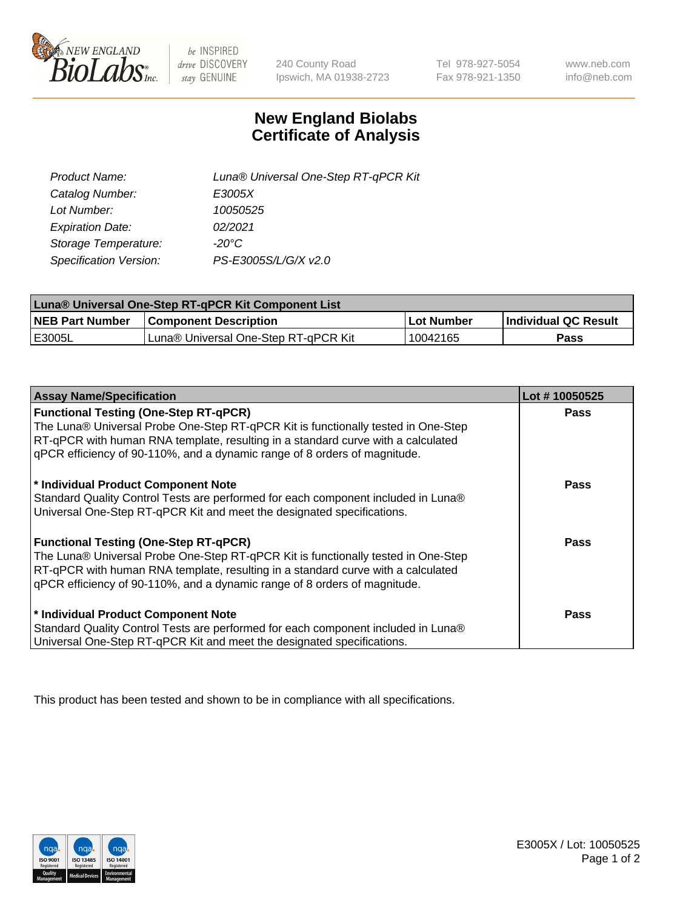

 $be$  INSPIRED drive DISCOVERY stay GENUINE

240 County Road Ipswich, MA 01938-2723 Tel 978-927-5054 Fax 978-921-1350 www.neb.com info@neb.com

## **New England Biolabs Certificate of Analysis**

| Luna® Universal One-Step RT-qPCR Kit |
|--------------------------------------|
| E3005X                               |
| 10050525                             |
| 02/2021                              |
| -20°C                                |
| PS-E3005S/L/G/X v2.0                 |
|                                      |

| Luna® Universal One-Step RT-qPCR Kit Component List |                                      |             |                       |  |
|-----------------------------------------------------|--------------------------------------|-------------|-----------------------|--|
| <b>NEB Part Number</b>                              | <b>Component Description</b>         | ∣Lot Number | ∣Individual QC Result |  |
| <b>IE3005L</b>                                      | Luna® Universal One-Step RT-qPCR Kit | 10042165    | Pass                  |  |

| <b>Assay Name/Specification</b>                                                                                                                                                                                                                                                                    | Lot #10050525 |
|----------------------------------------------------------------------------------------------------------------------------------------------------------------------------------------------------------------------------------------------------------------------------------------------------|---------------|
| <b>Functional Testing (One-Step RT-qPCR)</b><br>The Luna® Universal Probe One-Step RT-qPCR Kit is functionally tested in One-Step<br>RT-qPCR with human RNA template, resulting in a standard curve with a calculated                                                                              | <b>Pass</b>   |
| qPCR efficiency of 90-110%, and a dynamic range of 8 orders of magnitude.                                                                                                                                                                                                                          |               |
| * Individual Product Component Note<br>Standard Quality Control Tests are performed for each component included in Luna®<br>Universal One-Step RT-qPCR Kit and meet the designated specifications.                                                                                                 | <b>Pass</b>   |
| <b>Functional Testing (One-Step RT-qPCR)</b><br>The Luna® Universal Probe One-Step RT-qPCR Kit is functionally tested in One-Step<br>RT-qPCR with human RNA template, resulting in a standard curve with a calculated<br>gPCR efficiency of 90-110%, and a dynamic range of 8 orders of magnitude. | <b>Pass</b>   |
| * Individual Product Component Note<br>Standard Quality Control Tests are performed for each component included in Luna®<br>Universal One-Step RT-qPCR Kit and meet the designated specifications.                                                                                                 | Pass          |

This product has been tested and shown to be in compliance with all specifications.